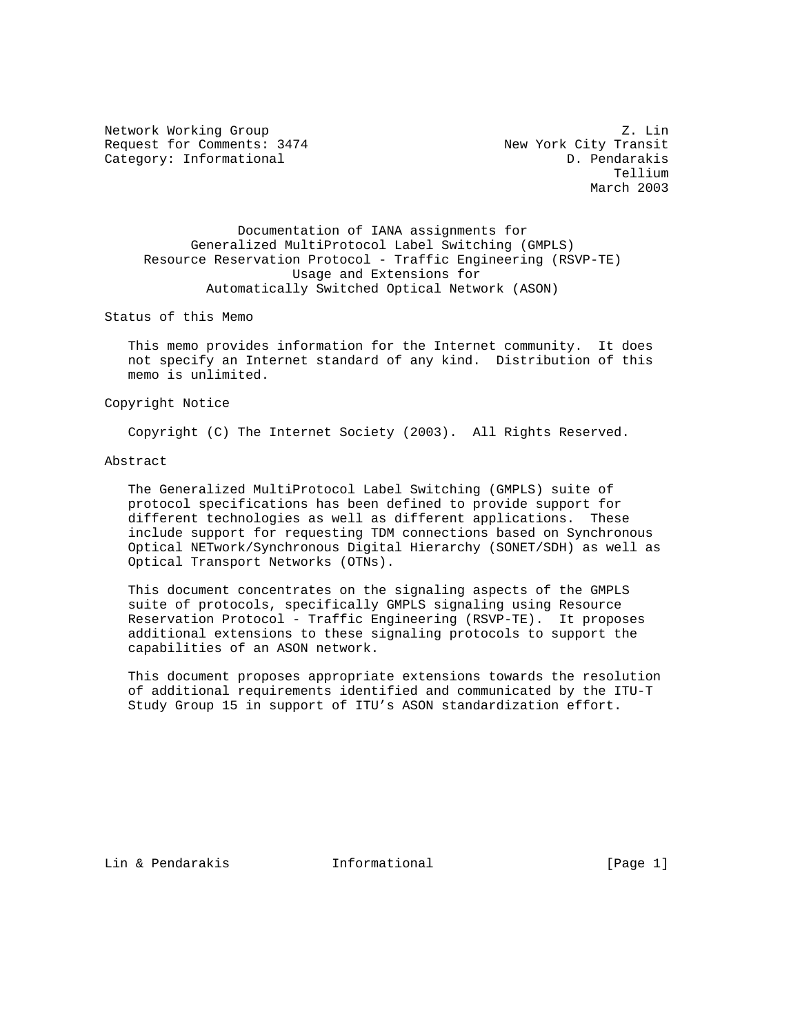Request for Comments: 3474 New York City Transit Category: Informational D. Pendarakis

Network Working Group 2. Links and the set of the set of the set of the set of the set of the set of the set of the set of the set of the set of the set of the set of the set of the set of the set of the set of the set of Tellium March 2003

 Documentation of IANA assignments for Generalized MultiProtocol Label Switching (GMPLS) Resource Reservation Protocol - Traffic Engineering (RSVP-TE) Usage and Extensions for Automatically Switched Optical Network (ASON)

Status of this Memo

 This memo provides information for the Internet community. It does not specify an Internet standard of any kind. Distribution of this memo is unlimited.

#### Copyright Notice

Copyright (C) The Internet Society (2003). All Rights Reserved.

#### Abstract

 The Generalized MultiProtocol Label Switching (GMPLS) suite of protocol specifications has been defined to provide support for different technologies as well as different applications. These include support for requesting TDM connections based on Synchronous Optical NETwork/Synchronous Digital Hierarchy (SONET/SDH) as well as Optical Transport Networks (OTNs).

 This document concentrates on the signaling aspects of the GMPLS suite of protocols, specifically GMPLS signaling using Resource Reservation Protocol - Traffic Engineering (RSVP-TE). It proposes additional extensions to these signaling protocols to support the capabilities of an ASON network.

 This document proposes appropriate extensions towards the resolution of additional requirements identified and communicated by the ITU-T Study Group 15 in support of ITU's ASON standardization effort.

Lin & Pendarakis Informational [Page 1]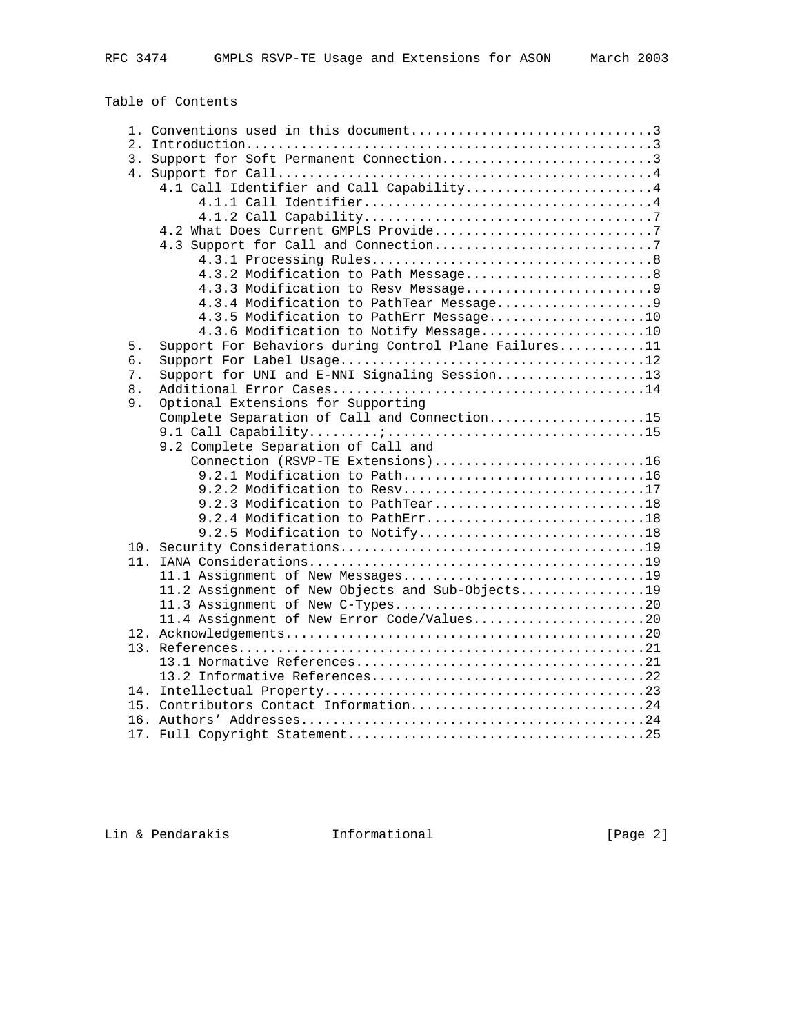Table of Contents

|    | 3. Support for Soft Permanent Connection3                        |
|----|------------------------------------------------------------------|
|    |                                                                  |
|    | 4.1 Call Identifier and Call Capability4                         |
|    |                                                                  |
|    |                                                                  |
|    | 4.2 What Does Current GMPLS Provide7                             |
|    | 4.3 Support for Call and Connection7                             |
|    |                                                                  |
|    | 4.3.2 Modification to Path Message8                              |
|    |                                                                  |
|    | 4.3.4 Modification to PathTear Message9                          |
|    | 4.3.5 Modification to PathErr Message10                          |
|    | 4.3.6 Modification to Notify Message10                           |
| 5. | Support For Behaviors during Control Plane Failures11            |
| б. |                                                                  |
| 7. | Support for UNI and E-NNI Signaling Session13                    |
| 8. |                                                                  |
| 9. | Optional Extensions for Supporting                               |
|    | Complete Separation of Call and Connection15                     |
|    |                                                                  |
|    | 9.2 Complete Separation of Call and                              |
|    | Connection (RSVP-TE Extensions)16                                |
|    | 9.2.1 Modification to Path16                                     |
|    |                                                                  |
|    | 9.2.2 Modification to Resv17<br>9.2.3 Modification to PathTear18 |
|    |                                                                  |
|    | 9.2.4 Modification to PathErr18                                  |
|    | 9.2.5 Modification to Notify18                                   |
|    |                                                                  |
|    |                                                                  |
|    |                                                                  |
|    | 11.2 Assignment of New Objects and Sub-Objects19                 |
|    |                                                                  |
|    | 11.4 Assignment of New Error Code/Values20                       |
|    |                                                                  |
|    |                                                                  |
|    |                                                                  |
|    |                                                                  |
|    |                                                                  |
|    | 15. Contributors Contact Information24                           |
|    |                                                                  |
|    |                                                                  |

Lin & Pendarakis **Informational** [Page 2]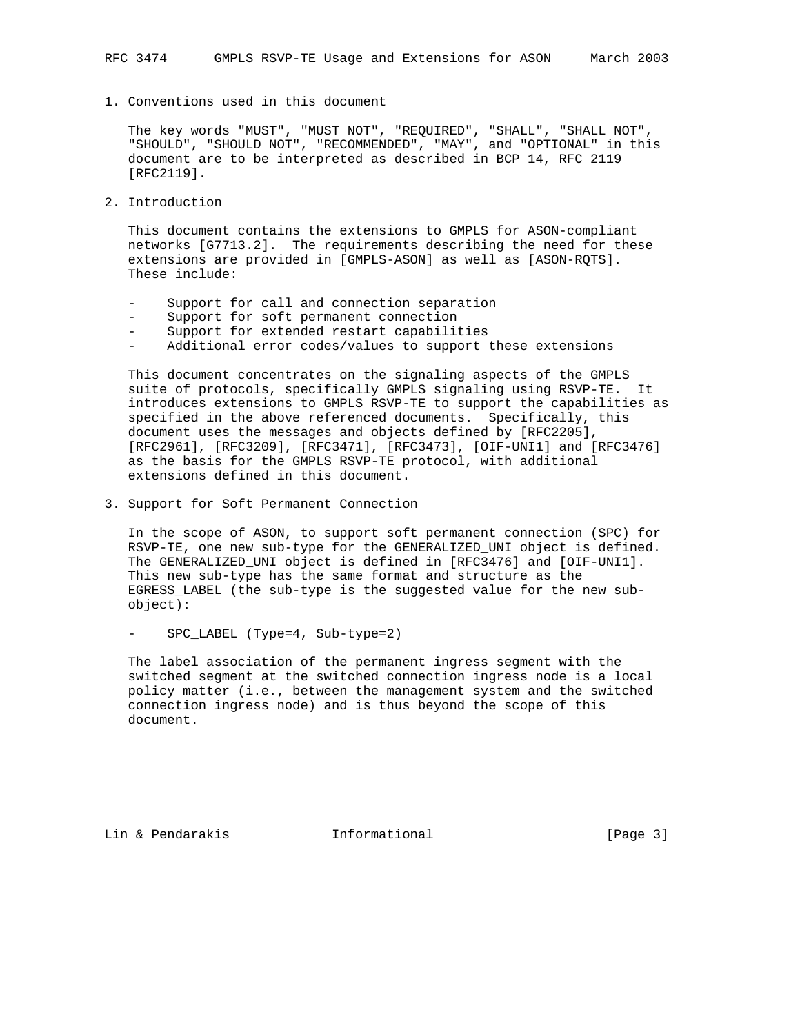1. Conventions used in this document

 The key words "MUST", "MUST NOT", "REQUIRED", "SHALL", "SHALL NOT", "SHOULD", "SHOULD NOT", "RECOMMENDED", "MAY", and "OPTIONAL" in this document are to be interpreted as described in BCP 14, RFC 2119 [RFC2119].

2. Introduction

 This document contains the extensions to GMPLS for ASON-compliant networks [G7713.2]. The requirements describing the need for these extensions are provided in [GMPLS-ASON] as well as [ASON-RQTS]. These include:

- Support for call and connection separation
- Support for soft permanent connection
- Support for extended restart capabilities
- Additional error codes/values to support these extensions

 This document concentrates on the signaling aspects of the GMPLS suite of protocols, specifically GMPLS signaling using RSVP-TE. It introduces extensions to GMPLS RSVP-TE to support the capabilities as specified in the above referenced documents. Specifically, this document uses the messages and objects defined by [RFC2205], [RFC2961], [RFC3209], [RFC3471], [RFC3473], [OIF-UNI1] and [RFC3476] as the basis for the GMPLS RSVP-TE protocol, with additional extensions defined in this document.

3. Support for Soft Permanent Connection

 In the scope of ASON, to support soft permanent connection (SPC) for RSVP-TE, one new sub-type for the GENERALIZED\_UNI object is defined. The GENERALIZED\_UNI object is defined in [RFC3476] and [OIF-UNI1]. This new sub-type has the same format and structure as the EGRESS\_LABEL (the sub-type is the suggested value for the new sub object):

- SPC\_LABEL (Type=4, Sub-type=2)

 The label association of the permanent ingress segment with the switched segment at the switched connection ingress node is a local policy matter (i.e., between the management system and the switched connection ingress node) and is thus beyond the scope of this document.

Lin & Pendarakis **Informational** [Page 3]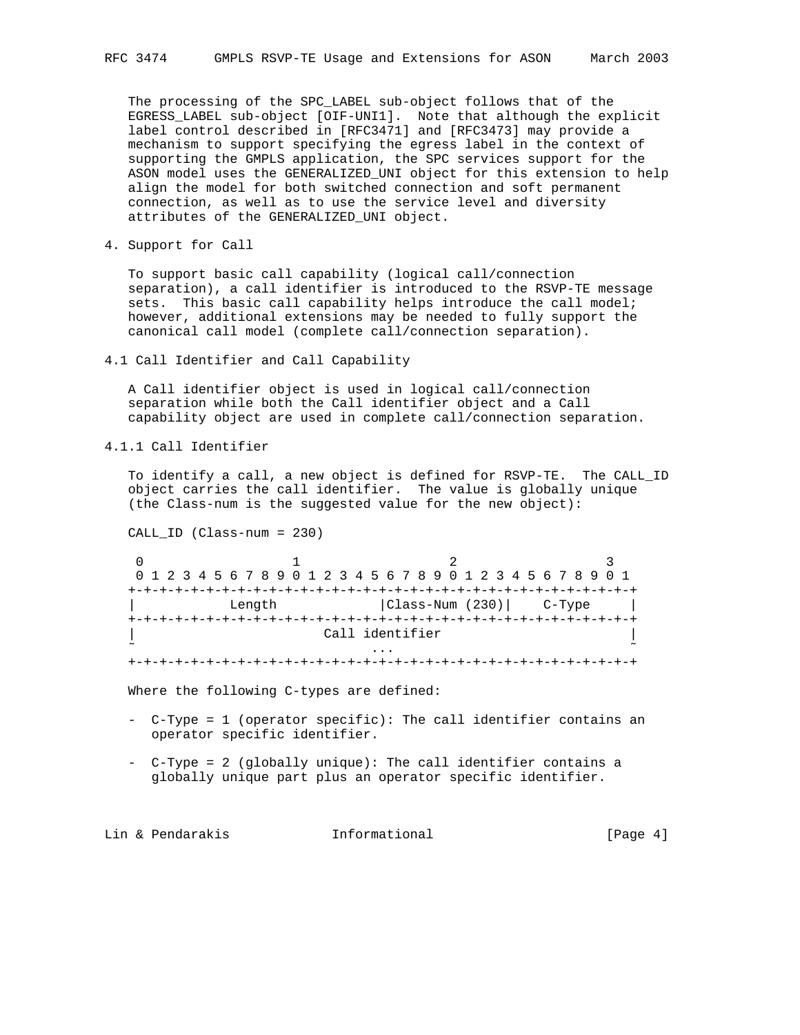The processing of the SPC\_LABEL sub-object follows that of the EGRESS\_LABEL sub-object [OIF-UNI1]. Note that although the explicit label control described in [RFC3471] and [RFC3473] may provide a mechanism to support specifying the egress label in the context of supporting the GMPLS application, the SPC services support for the ASON model uses the GENERALIZED\_UNI object for this extension to help align the model for both switched connection and soft permanent connection, as well as to use the service level and diversity attributes of the GENERALIZED\_UNI object.

4. Support for Call

 To support basic call capability (logical call/connection separation), a call identifier is introduced to the RSVP-TE message sets. This basic call capability helps introduce the call model; however, additional extensions may be needed to fully support the canonical call model (complete call/connection separation).

4.1 Call Identifier and Call Capability

 A Call identifier object is used in logical call/connection separation while both the Call identifier object and a Call capability object are used in complete call/connection separation.

4.1.1 Call Identifier

 To identify a call, a new object is defined for RSVP-TE. The CALL\_ID object carries the call identifier. The value is globally unique (the Class-num is the suggested value for the new object):

CALL\_ID (Class-num = 230)

0  $1$   $2$   $3$  0 1 2 3 4 5 6 7 8 9 0 1 2 3 4 5 6 7 8 9 0 1 2 3 4 5 6 7 8 9 0 1 +-+-+-+-+-+-+-+-+-+-+-+-+-+-+-+-+-+-+-+-+-+-+-+-+-+-+-+-+-+-+-+-+ Length  $|Class-Num (230)|$  C-Type | +-+-+-+-+-+-+-+-+-+-+-+-+-+-+-+-+-+-+-+-+-+-+-+-+-+-+-+-+-+-+-+-+ Call identifier  $\tilde{\mathcal{C}}$  . The contract of the contract of the contract of the contract of the contract of the contract of the contract of the contract of the contract of the contract of the contract of the contract of the contract of +-+-+-+-+-+-+-+-+-+-+-+-+-+-+-+-+-+-+-+-+-+-+-+-+-+-+-+-+-+-+-+-+

Where the following C-types are defined:

- C-Type = 1 (operator specific): The call identifier contains an operator specific identifier.
- C-Type = 2 (globally unique): The call identifier contains a globally unique part plus an operator specific identifier.

Lin & Pendarakis **Informational** [Page 4]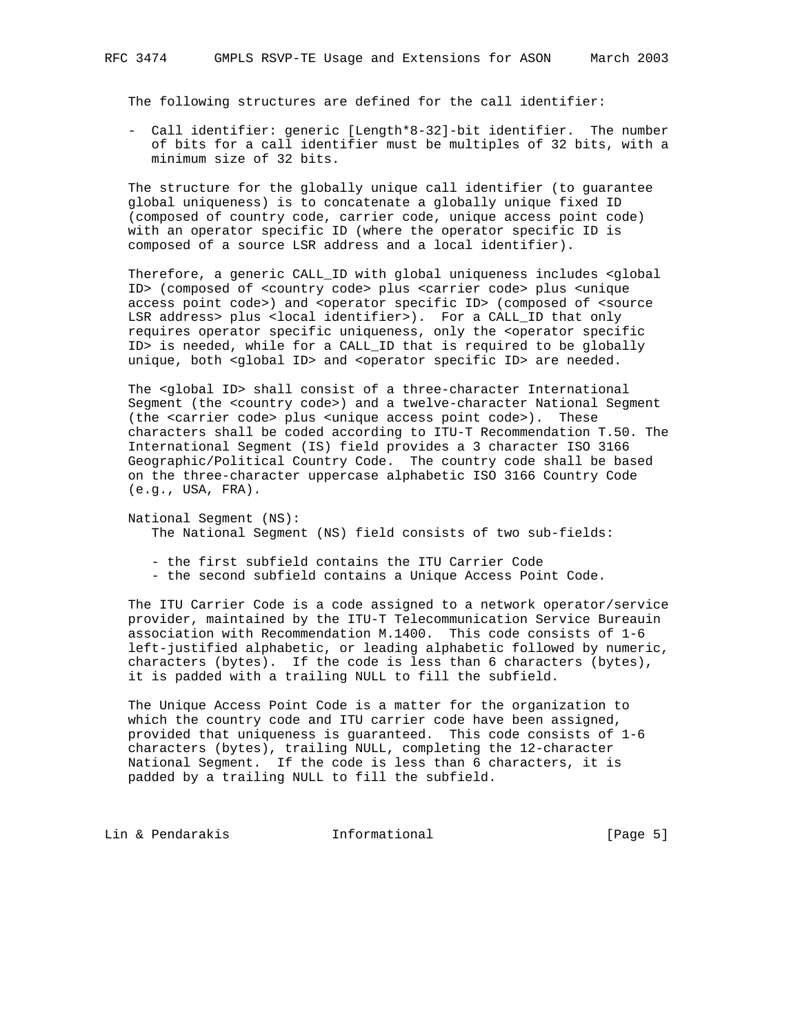The following structures are defined for the call identifier:

 - Call identifier: generic [Length\*8-32]-bit identifier. The number of bits for a call identifier must be multiples of 32 bits, with a minimum size of 32 bits.

 The structure for the globally unique call identifier (to guarantee global uniqueness) is to concatenate a globally unique fixed ID (composed of country code, carrier code, unique access point code) with an operator specific ID (where the operator specific ID is composed of a source LSR address and a local identifier).

 Therefore, a generic CALL\_ID with global uniqueness includes <global ID> (composed of <country code> plus <carrier code> plus <unique access point code>) and <operator specific ID> (composed of <source LSR address> plus <local identifier>). For a CALL\_ID that only requires operator specific uniqueness, only the <operator specific ID> is needed, while for a CALL\_ID that is required to be globally unique, both <global ID> and <operator specific ID> are needed.

 The <global ID> shall consist of a three-character International Segment (the <country code>) and a twelve-character National Segment (the <carrier code> plus <unique access point code>). These characters shall be coded according to ITU-T Recommendation T.50. The International Segment (IS) field provides a 3 character ISO 3166 Geographic/Political Country Code. The country code shall be based on the three-character uppercase alphabetic ISO 3166 Country Code (e.g., USA, FRA).

 National Segment (NS): The National Segment (NS) field consists of two sub-fields:

- the first subfield contains the ITU Carrier Code

- the second subfield contains a Unique Access Point Code.

 The ITU Carrier Code is a code assigned to a network operator/service provider, maintained by the ITU-T Telecommunication Service Bureauin association with Recommendation M.1400. This code consists of 1-6 left-justified alphabetic, or leading alphabetic followed by numeric, characters (bytes). If the code is less than 6 characters (bytes), it is padded with a trailing NULL to fill the subfield.

 The Unique Access Point Code is a matter for the organization to which the country code and ITU carrier code have been assigned, provided that uniqueness is guaranteed. This code consists of 1-6 characters (bytes), trailing NULL, completing the 12-character National Segment. If the code is less than 6 characters, it is padded by a trailing NULL to fill the subfield.

Lin & Pendarakis **Informational Informational** [Page 5]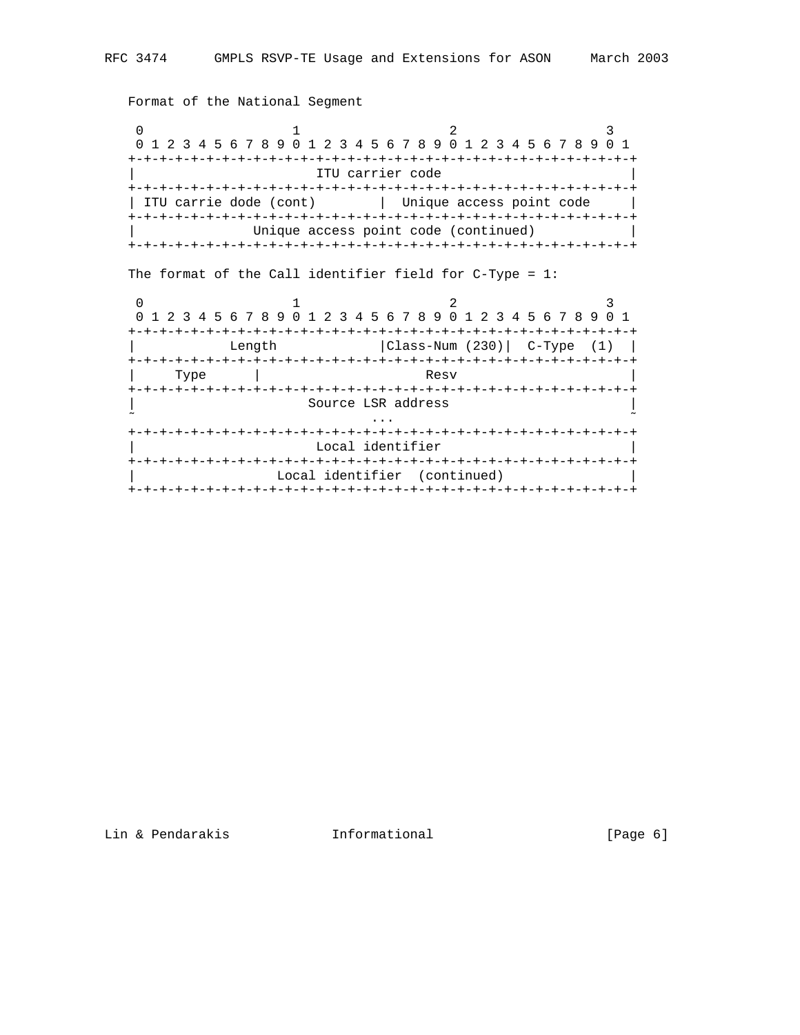Format of the National Segment

0  $1$  2 3 0 1 2 3 4 5 6 7 8 9 0 1 2 3 4 5 6 7 8 9 0 1 2 3 4 5 6 7 8 9 0 1 +-+-+-+-+-+-+-+-+-+-+-+-+-+-+-+-+-+-+-+-+-+-+-+-+-+-+-+-+-+-+-+-+ ITU carrier code +-+-+-+-+-+-+-+-+-+-+-+-+-+-+-+-+-+-+-+-+-+-+-+-+-+-+-+-+-+-+-+-+ | ITU carrie dode (cont) | Unique access point code | +-+-+-+-+-+-+-+-+-+-+-+-+-+-+-+-+-+-+-+-+-+-+-+-+-+-+-+-+-+-+-+-+ Unique access point code (continued)  $|$  +-+-+-+-+-+-+-+-+-+-+-+-+-+-+-+-+-+-+-+-+-+-+-+-+-+-+-+-+-+-+-+-+ The format of the Call identifier field for C-Type = 1: 0  $1$  2 3

|      |        | 0 1 2 3 4 5 6 7 8 9 0 1 2 3 4 5 6 7 8 9 0 1 2 3 4 5 6 7 8 9 0 1 |  |
|------|--------|-----------------------------------------------------------------|--|
|      |        | -+-+-+-+-+-+-+-+-+-+-+-+-+-+-+-+-+-                             |  |
|      | Length | $ Class-Num (230) $ C-Type $(1)$                                |  |
|      |        |                                                                 |  |
| Type |        | Resv                                                            |  |
|      |        |                                                                 |  |
|      |        | Source LSR address                                              |  |
|      |        |                                                                 |  |
|      |        |                                                                 |  |
|      |        | Local identifier                                                |  |
|      |        |                                                                 |  |
|      |        | Local identifier (continued)                                    |  |
|      |        |                                                                 |  |

Lin & Pendarakis **Informational** [Page 6]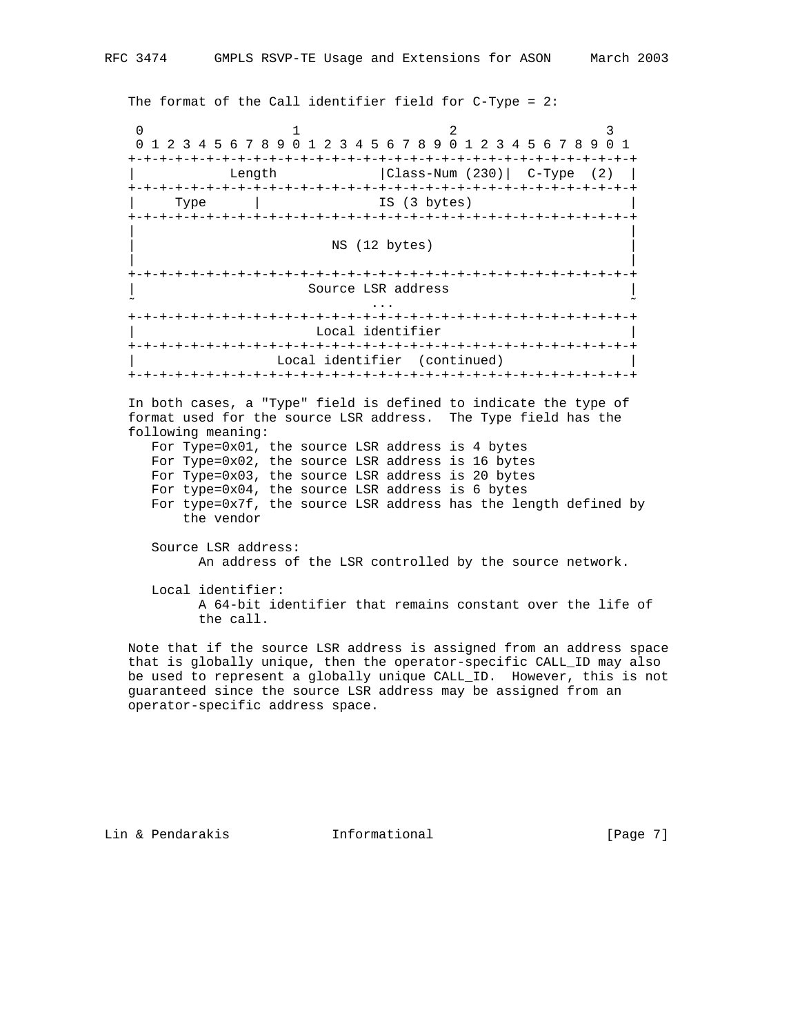The format of the Call identifier field for C-Type = 2:

0  $1$  2 3 0 1 2 3 4 5 6 7 8 9 0 1 2 3 4 5 6 7 8 9 0 1 2 3 4 5 6 7 8 9 0 1 +-+-+-+-+-+-+-+-+-+-+-+-+-+-+-+-+-+-+-+-+-+-+-+-+-+-+-+-+-+-+-+-+ | Length |Class-Num (230)| C-Type (2) | +-+-+-+-+-+-+-+-+-+-+-+-+-+-+-+-+-+-+-+-+-+-+-+-+-+-+-+-+-+-+-+-+ Type | IS (3 bytes) +-+-+-+-+-+-+-+-+-+-+-+-+-+-+-+-+-+-+-+-+-+-+-+-+-+-+-+-+-+-+-+-+ | | NS (12 bytes) | | +-+-+-+-+-+-+-+-+-+-+-+-+-+-+-+-+-+-+-+-+-+-+-+-+-+-+-+-+-+-+-+-+ | Source LSR address |  $\tilde{\mathcal{C}}$  . The contract of the contract of the contract of the contract of the contract of the contract of the contract of the contract of the contract of the contract of the contract of the contract of the contract of +-+-+-+-+-+-+-+-+-+-+-+-+-+-+-+-+-+-+-+-+-+-+-+-+-+-+-+-+-+-+-+-+ Local identifier +-+-+-+-+-+-+-+-+-+-+-+-+-+-+-+-+-+-+-+-+-+-+-+-+-+-+-+-+-+-+-+-+ Local identifier (continued) +-+-+-+-+-+-+-+-+-+-+-+-+-+-+-+-+-+-+-+-+-+-+-+-+-+-+-+-+-+-+-+-+ In both cases, a "Type" field is defined to indicate the type of format used for the source LSR address. The Type field has the following meaning: For Type=0x01, the source LSR address is 4 bytes For Type=0x02, the source LSR address is 16 bytes For Type=0x03, the source LSR address is 20 bytes For type=0x04, the source LSR address is 6 bytes For type=0x7f, the source LSR address has the length defined by the vendor Source LSR address: An address of the LSR controlled by the source network. Local identifier: A 64-bit identifier that remains constant over the life of the call.

 Note that if the source LSR address is assigned from an address space that is globally unique, then the operator-specific CALL\_ID may also be used to represent a globally unique CALL\_ID. However, this is not guaranteed since the source LSR address may be assigned from an operator-specific address space.

Lin & Pendarakis **Informational** [Page 7]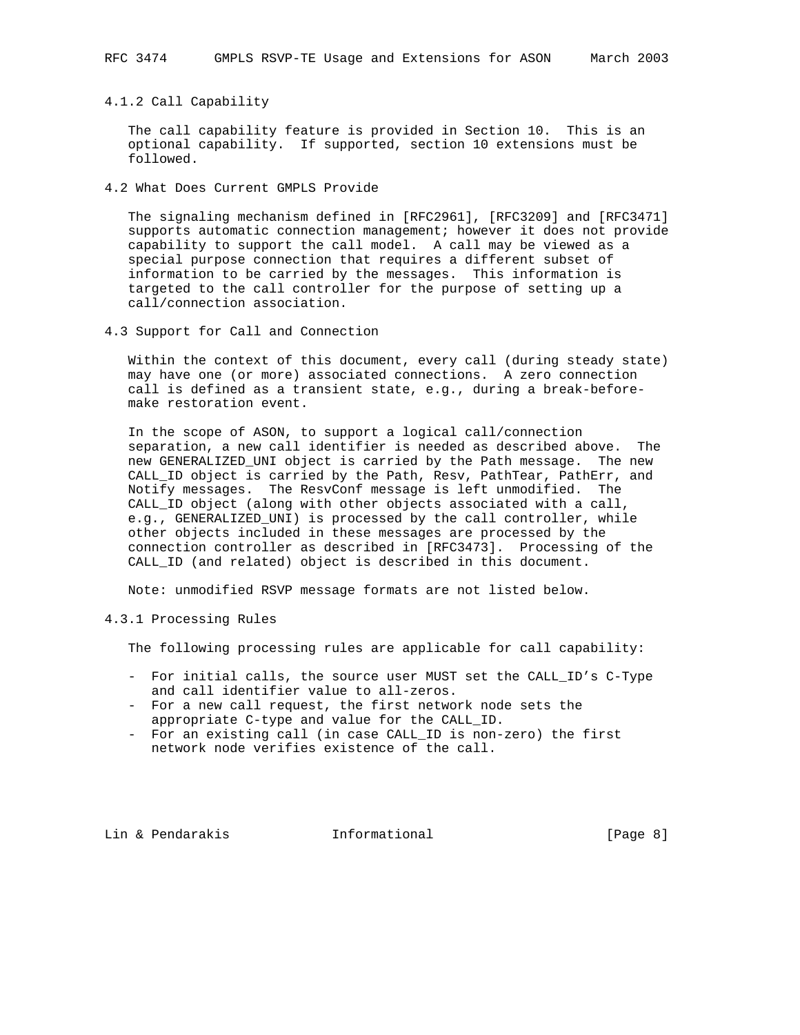4.1.2 Call Capability

 The call capability feature is provided in Section 10. This is an optional capability. If supported, section 10 extensions must be followed.

4.2 What Does Current GMPLS Provide

 The signaling mechanism defined in [RFC2961], [RFC3209] and [RFC3471] supports automatic connection management; however it does not provide capability to support the call model. A call may be viewed as a special purpose connection that requires a different subset of information to be carried by the messages. This information is targeted to the call controller for the purpose of setting up a call/connection association.

4.3 Support for Call and Connection

 Within the context of this document, every call (during steady state) may have one (or more) associated connections. A zero connection call is defined as a transient state, e.g., during a break-before make restoration event.

 In the scope of ASON, to support a logical call/connection separation, a new call identifier is needed as described above. The new GENERALIZED\_UNI object is carried by the Path message. The new CALL\_ID object is carried by the Path, Resv, PathTear, PathErr, and Notify messages. The ResvConf message is left unmodified. The CALL\_ID object (along with other objects associated with a call, e.g., GENERALIZED\_UNI) is processed by the call controller, while other objects included in these messages are processed by the connection controller as described in [RFC3473]. Processing of the CALL\_ID (and related) object is described in this document.

Note: unmodified RSVP message formats are not listed below.

4.3.1 Processing Rules

The following processing rules are applicable for call capability:

- For initial calls, the source user MUST set the CALL\_ID's C-Type and call identifier value to all-zeros.
- For a new call request, the first network node sets the appropriate C-type and value for the CALL\_ID.
- For an existing call (in case CALL\_ID is non-zero) the first network node verifies existence of the call.

Lin & Pendarakis **Informational** [Page 8]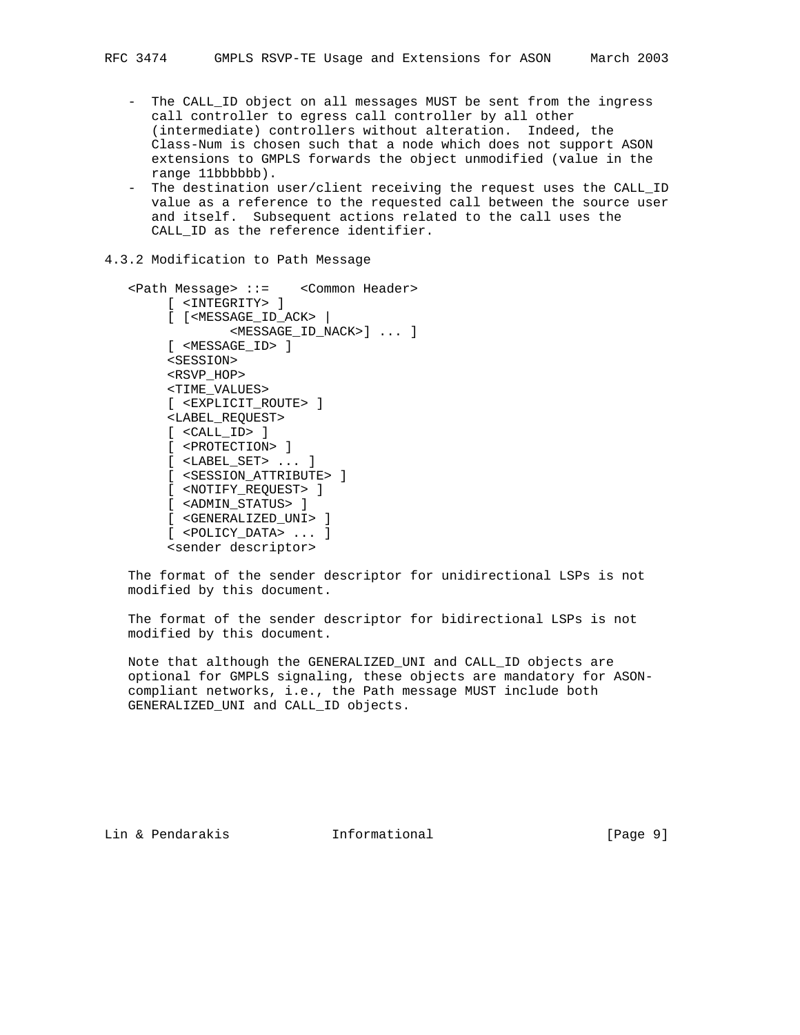- The CALL\_ID object on all messages MUST be sent from the ingress call controller to egress call controller by all other (intermediate) controllers without alteration. Indeed, the Class-Num is chosen such that a node which does not support ASON extensions to GMPLS forwards the object unmodified (value in the range 11bbbbbb).
- The destination user/client receiving the request uses the CALL\_ID value as a reference to the requested call between the source user and itself. Subsequent actions related to the call uses the CALL ID as the reference identifier.
- 4.3.2 Modification to Path Message

```
 <Path Message> ::= <Common Header>
      [ <INTEGRITY> ]
      [ [<MESSAGE_ID_ACK> |
             <MESSAGE_ID_NACK>] ... ]
      [ <MESSAGE_ID> ]
      <SESSION>
      <RSVP_HOP>
      <TIME_VALUES>
      [ <EXPLICIT_ROUTE> ]
      <LABEL_REQUEST>
      [ <CALL_ID> ]
      [ <PROTECTION> ]
      [ <LABEL_SET> ... ]
      [ <SESSION_ATTRIBUTE> ]
      [ <NOTIFY_REQUEST> ]
      [ <ADMIN_STATUS> ]
      [ <GENERALIZED_UNI> ]
      [ <POLICY_DATA> ... ]
      <sender descriptor>
```
 The format of the sender descriptor for unidirectional LSPs is not modified by this document.

 The format of the sender descriptor for bidirectional LSPs is not modified by this document.

 Note that although the GENERALIZED\_UNI and CALL\_ID objects are optional for GMPLS signaling, these objects are mandatory for ASON compliant networks, i.e., the Path message MUST include both GENERALIZED\_UNI and CALL\_ID objects.

Lin & Pendarakis Informational [Paqe 9]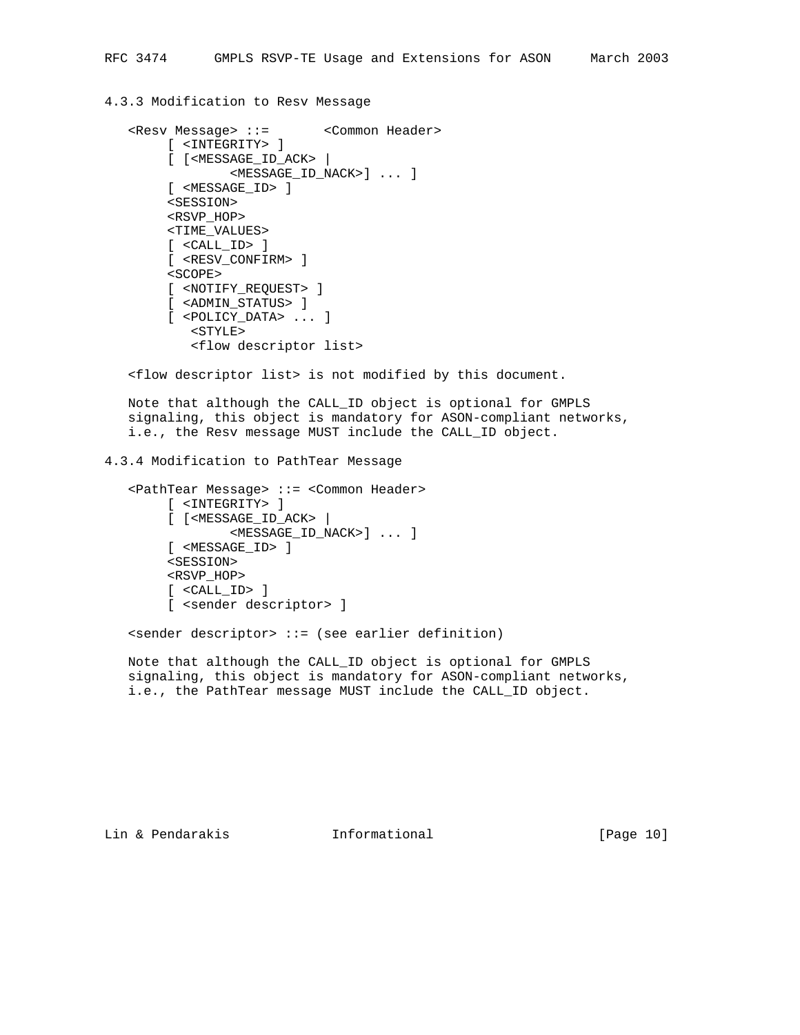### 4.3.3 Modification to Resv Message

```
 <Resv Message> ::= <Common Header>
      [ <INTEGRITY> ]
      [ [<MESSAGE_ID_ACK> |
           <MESSAGE_ID_NACK>] ... ]
      [ <MESSAGE_ID> ]
      <SESSION>
      <RSVP_HOP>
      <TIME_VALUES>
      [ <CALL_ID> ]
      [ <RESV_CONFIRM> ]
     <SCOPE> [ <NOTIFY_REQUEST> ]
      [ <ADMIN_STATUS> ]
      [ <POLICY_DATA> ... ]
         <STYLE>
         <flow descriptor list>
```
<flow descriptor list> is not modified by this document.

 Note that although the CALL\_ID object is optional for GMPLS signaling, this object is mandatory for ASON-compliant networks, i.e., the Resv message MUST include the CALL\_ID object.

### 4.3.4 Modification to PathTear Message

```
 <PathTear Message> ::= <Common Header>
      [ <INTEGRITY> ]
      [ [<MESSAGE_ID_ACK> |
             <MESSAGE_ID_NACK>] ... ]
      [ <MESSAGE_ID> ]
      <SESSION>
      <RSVP_HOP>
      [ <CALL_ID> ]
      [ <sender descriptor> ]
```
<sender descriptor> ::= (see earlier definition)

 Note that although the CALL\_ID object is optional for GMPLS signaling, this object is mandatory for ASON-compliant networks, i.e., the PathTear message MUST include the CALL\_ID object.

Lin & Pendarakis Informational [Page 10]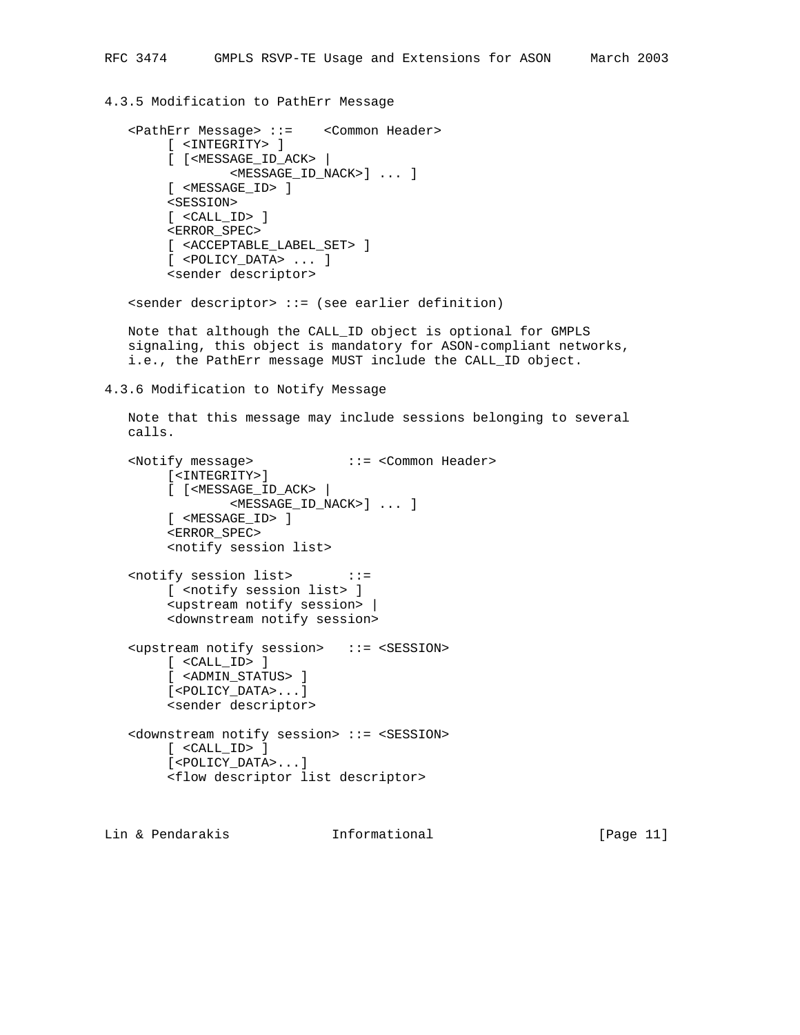### 4.3.5 Modification to PathErr Message

```
 <PathErr Message> ::= <Common Header>
      [ <INTEGRITY> ]
      [ [<MESSAGE_ID_ACK> |
              <MESSAGE_ID_NACK>] ... ]
      [ <MESSAGE_ID> ]
      <SESSION>
      [ <CALL_ID> ]
      <ERROR_SPEC>
      [ <ACCEPTABLE_LABEL_SET> ]
      [ <POLICY_DATA> ... ]
      <sender descriptor>
```
<sender descriptor> ::= (see earlier definition)

 Note that although the CALL\_ID object is optional for GMPLS signaling, this object is mandatory for ASON-compliant networks, i.e., the PathErr message MUST include the CALL\_ID object.

4.3.6 Modification to Notify Message

```
 Note that this message may include sessions belonging to several
 calls.
```

```
 <Notify message> ::= <Common Header>
      [<INTEGRITY>]
      [ [<MESSAGE_ID_ACK> |
             <MESSAGE_ID_NACK>] ... ]
      [ <MESSAGE_ID> ]
      <ERROR_SPEC>
      <notify session list>
 <notify session list> ::=
      [ <notify session list> ]
      <upstream notify session> |
      <downstream notify session>
 <upstream notify session> ::= <SESSION>
      [ <CALL_ID> ]
      [ <ADMIN_STATUS> ]
      [<POLICY_DATA>...]
      <sender descriptor>
 <downstream notify session> ::= <SESSION>
      [ <CALL_ID> ]
      [<POLICY_DATA>...]
     <flow descriptor list descriptor>
```
Lin & Pendarakis Informational [Page 11]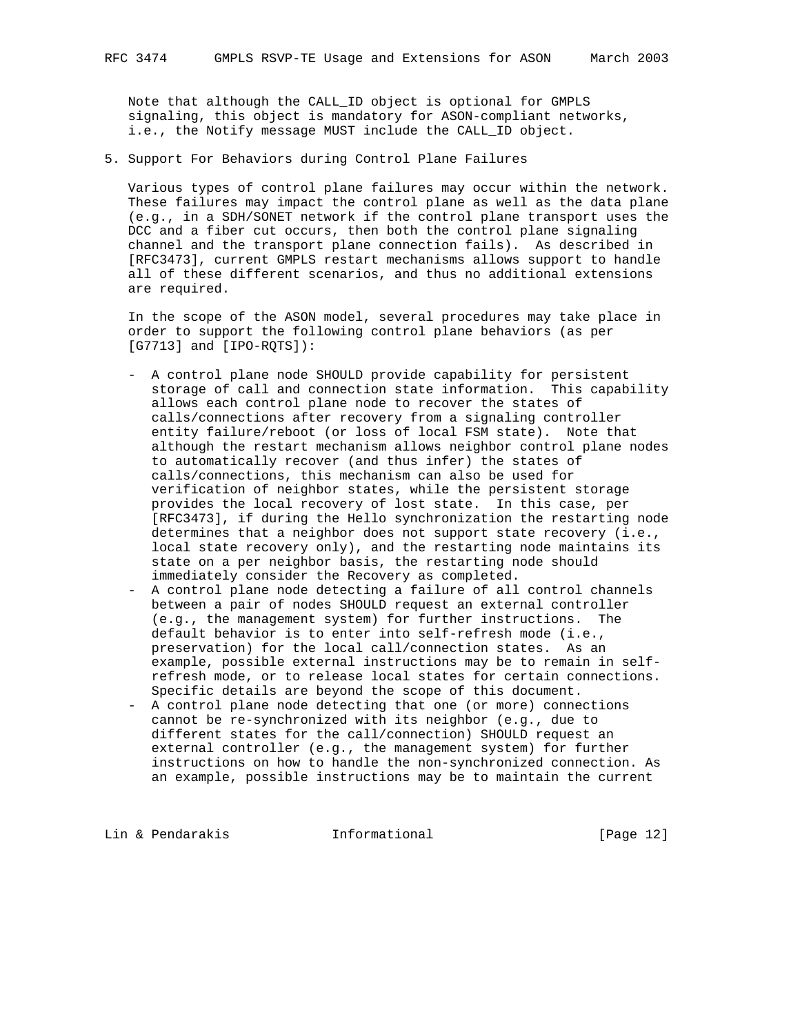Note that although the CALL\_ID object is optional for GMPLS signaling, this object is mandatory for ASON-compliant networks, i.e., the Notify message MUST include the CALL\_ID object.

5. Support For Behaviors during Control Plane Failures

 Various types of control plane failures may occur within the network. These failures may impact the control plane as well as the data plane (e.g., in a SDH/SONET network if the control plane transport uses the DCC and a fiber cut occurs, then both the control plane signaling channel and the transport plane connection fails). As described in [RFC3473], current GMPLS restart mechanisms allows support to handle all of these different scenarios, and thus no additional extensions are required.

 In the scope of the ASON model, several procedures may take place in order to support the following control plane behaviors (as per [G7713] and [IPO-RQTS]):

- A control plane node SHOULD provide capability for persistent storage of call and connection state information. This capability allows each control plane node to recover the states of calls/connections after recovery from a signaling controller entity failure/reboot (or loss of local FSM state). Note that although the restart mechanism allows neighbor control plane nodes to automatically recover (and thus infer) the states of calls/connections, this mechanism can also be used for verification of neighbor states, while the persistent storage provides the local recovery of lost state. In this case, per [RFC3473], if during the Hello synchronization the restarting node determines that a neighbor does not support state recovery (i.e., local state recovery only), and the restarting node maintains its state on a per neighbor basis, the restarting node should immediately consider the Recovery as completed.
- A control plane node detecting a failure of all control channels between a pair of nodes SHOULD request an external controller (e.g., the management system) for further instructions. The default behavior is to enter into self-refresh mode (i.e., preservation) for the local call/connection states. As an example, possible external instructions may be to remain in self refresh mode, or to release local states for certain connections. Specific details are beyond the scope of this document.
- A control plane node detecting that one (or more) connections cannot be re-synchronized with its neighbor (e.g., due to different states for the call/connection) SHOULD request an external controller (e.g., the management system) for further instructions on how to handle the non-synchronized connection. As an example, possible instructions may be to maintain the current

Lin & Pendarakis **Informational** [Page 12]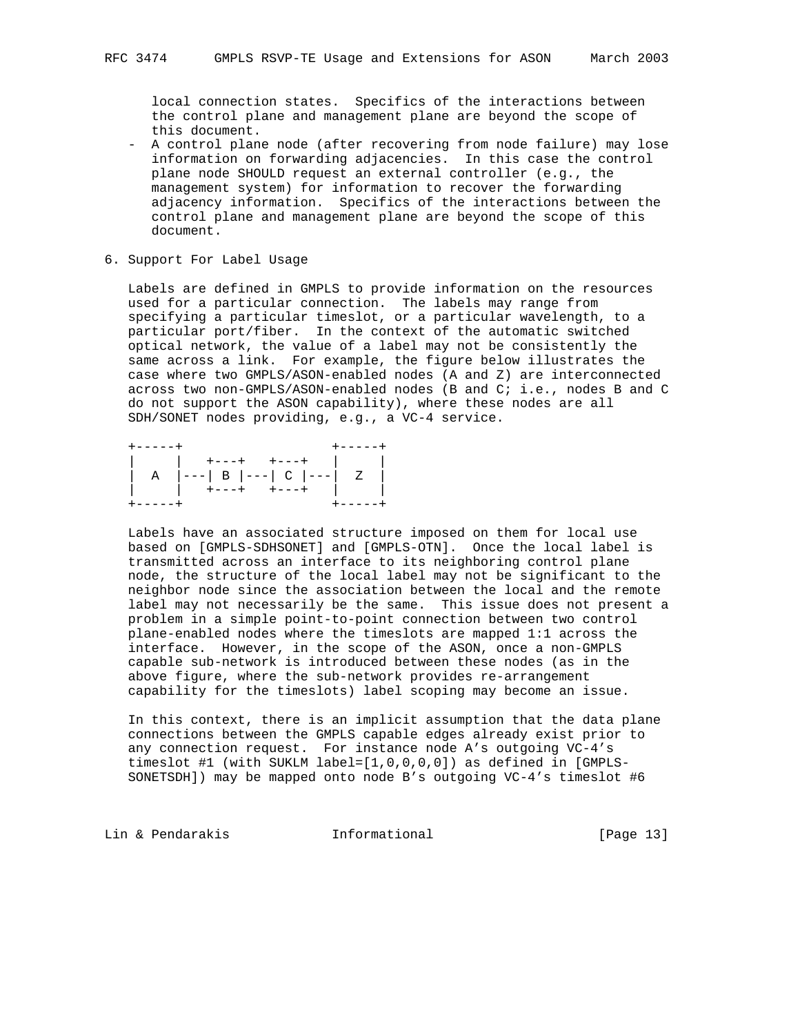local connection states. Specifics of the interactions between the control plane and management plane are beyond the scope of this document.

- A control plane node (after recovering from node failure) may lose information on forwarding adjacencies. In this case the control plane node SHOULD request an external controller (e.g., the management system) for information to recover the forwarding adjacency information. Specifics of the interactions between the control plane and management plane are beyond the scope of this document.
- 6. Support For Label Usage

 Labels are defined in GMPLS to provide information on the resources used for a particular connection. The labels may range from specifying a particular timeslot, or a particular wavelength, to a particular port/fiber. In the context of the automatic switched optical network, the value of a label may not be consistently the same across a link. For example, the figure below illustrates the case where two GMPLS/ASON-enabled nodes (A and Z) are interconnected across two non-GMPLS/ASON-enabled nodes (B and C; i.e., nodes B and C do not support the ASON capability), where these nodes are all SDH/SONET nodes providing, e.g., a VC-4 service.

| $+ - - - - - +$ |                               |  |
|-----------------|-------------------------------|--|
|                 | $+--++$ $+---+$               |  |
|                 | $ --- $ B $ --- $ C $ --- $ Z |  |
|                 | $+ - - +$<br>$+ - - - +$      |  |
|                 |                               |  |

 Labels have an associated structure imposed on them for local use based on [GMPLS-SDHSONET] and [GMPLS-OTN]. Once the local label is transmitted across an interface to its neighboring control plane node, the structure of the local label may not be significant to the neighbor node since the association between the local and the remote label may not necessarily be the same. This issue does not present a problem in a simple point-to-point connection between two control plane-enabled nodes where the timeslots are mapped 1:1 across the interface. However, in the scope of the ASON, once a non-GMPLS capable sub-network is introduced between these nodes (as in the above figure, where the sub-network provides re-arrangement capability for the timeslots) label scoping may become an issue.

 In this context, there is an implicit assumption that the data plane connections between the GMPLS capable edges already exist prior to any connection request. For instance node A's outgoing VC-4's timeslot #1 (with SUKLM label=[1,0,0,0,0]) as defined in [GMPLS- SONETSDH]) may be mapped onto node B's outgoing VC-4's timeslot #6

Lin & Pendarakis Informational [Page 13]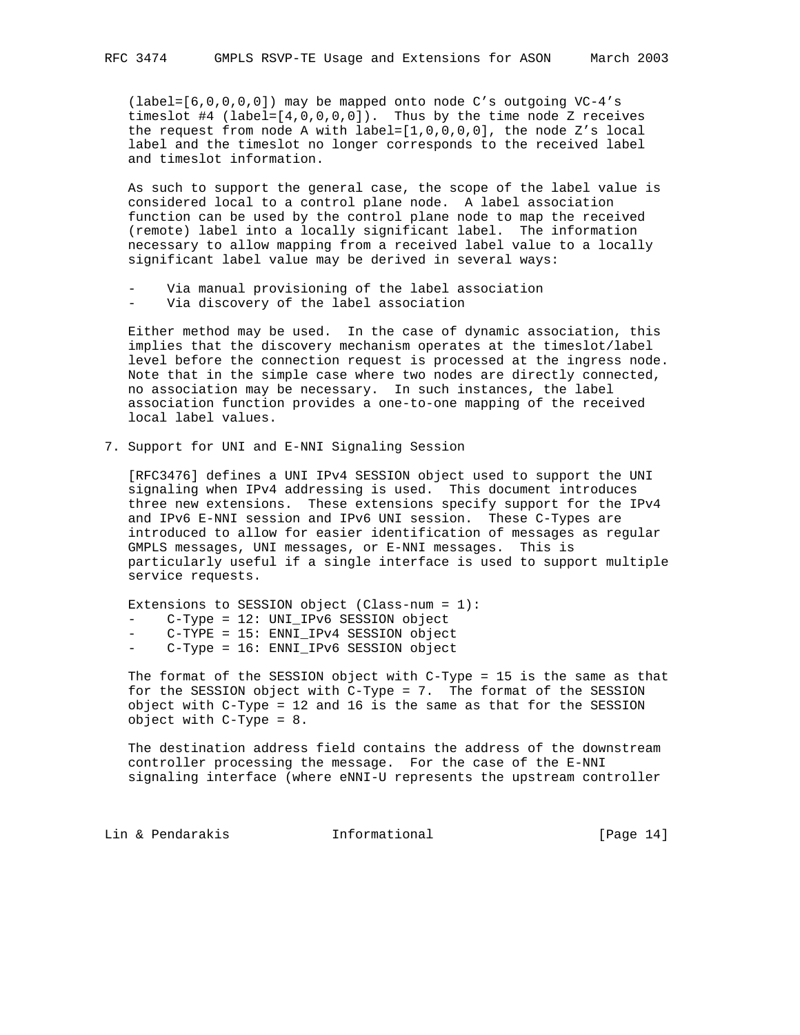(label=[6,0,0,0,0]) may be mapped onto node C's outgoing VC-4's timeslot #4 (label= $[4,0,0,0,0]$ ). Thus by the time node Z receives the request from node A with label=[1,0,0,0,0], the node Z's local label and the timeslot no longer corresponds to the received label and timeslot information.

 As such to support the general case, the scope of the label value is considered local to a control plane node. A label association function can be used by the control plane node to map the received (remote) label into a locally significant label. The information necessary to allow mapping from a received label value to a locally significant label value may be derived in several ways:

- Via manual provisioning of the label association
- Via discovery of the label association

 Either method may be used. In the case of dynamic association, this implies that the discovery mechanism operates at the timeslot/label level before the connection request is processed at the ingress node. Note that in the simple case where two nodes are directly connected, no association may be necessary. In such instances, the label association function provides a one-to-one mapping of the received local label values.

7. Support for UNI and E-NNI Signaling Session

 [RFC3476] defines a UNI IPv4 SESSION object used to support the UNI signaling when IPv4 addressing is used. This document introduces three new extensions. These extensions specify support for the IPv4 and IPv6 E-NNI session and IPv6 UNI session. These C-Types are introduced to allow for easier identification of messages as regular GMPLS messages, UNI messages, or E-NNI messages. This is particularly useful if a single interface is used to support multiple service requests.

Extensions to SESSION object (Class-num = 1):

- C-Type = 12: UNI\_IPv6 SESSION object
- C-TYPE = 15: ENNI\_IPv4 SESSION object
- C-Type = 16: ENNI\_IPv6 SESSION object

 The format of the SESSION object with C-Type = 15 is the same as that for the SESSION object with C-Type = 7. The format of the SESSION object with C-Type = 12 and 16 is the same as that for the SESSION object with C-Type = 8.

 The destination address field contains the address of the downstream controller processing the message. For the case of the E-NNI signaling interface (where eNNI-U represents the upstream controller

Lin & Pendarakis **Informational** [Page 14]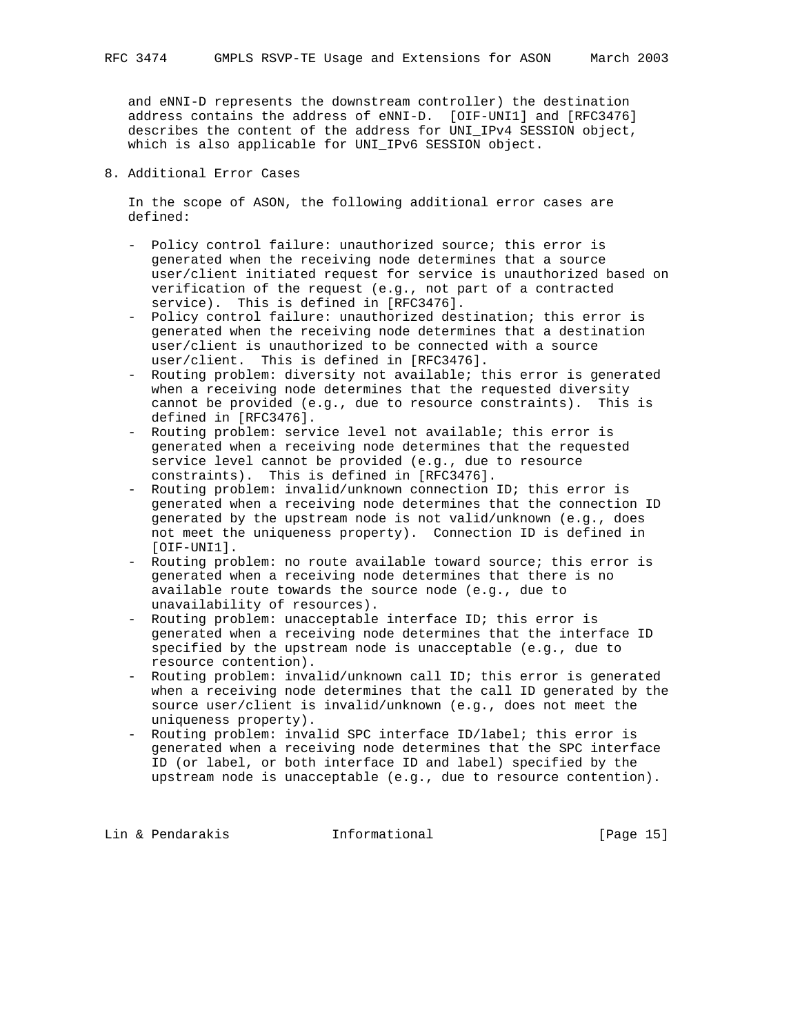and eNNI-D represents the downstream controller) the destination address contains the address of eNNI-D. [OIF-UNI1] and [RFC3476] describes the content of the address for UNI\_IPv4 SESSION object, which is also applicable for UNI\_IPv6 SESSION object.

### 8. Additional Error Cases

 In the scope of ASON, the following additional error cases are defined:

- Policy control failure: unauthorized source; this error is generated when the receiving node determines that a source user/client initiated request for service is unauthorized based on verification of the request (e.g., not part of a contracted service). This is defined in [RFC3476].
- Policy control failure: unauthorized destination; this error is generated when the receiving node determines that a destination user/client is unauthorized to be connected with a source user/client. This is defined in [RFC3476].
- Routing problem: diversity not available; this error is generated when a receiving node determines that the requested diversity cannot be provided (e.g., due to resource constraints). This is defined in [RFC3476].
- Routing problem: service level not available; this error is generated when a receiving node determines that the requested service level cannot be provided (e.g., due to resource constraints). This is defined in [RFC3476].
- Routing problem: invalid/unknown connection ID; this error is generated when a receiving node determines that the connection ID generated by the upstream node is not valid/unknown (e.g., does not meet the uniqueness property). Connection ID is defined in [OIF-UNI1].
- Routing problem: no route available toward source; this error is generated when a receiving node determines that there is no available route towards the source node (e.g., due to unavailability of resources).
- Routing problem: unacceptable interface ID; this error is generated when a receiving node determines that the interface ID specified by the upstream node is unacceptable (e.g., due to resource contention).
- Routing problem: invalid/unknown call ID; this error is generated when a receiving node determines that the call ID generated by the source user/client is invalid/unknown (e.g., does not meet the uniqueness property).
- Routing problem: invalid SPC interface ID/label; this error is generated when a receiving node determines that the SPC interface ID (or label, or both interface ID and label) specified by the upstream node is unacceptable (e.g., due to resource contention).

Lin & Pendarakis **Informational** [Page 15]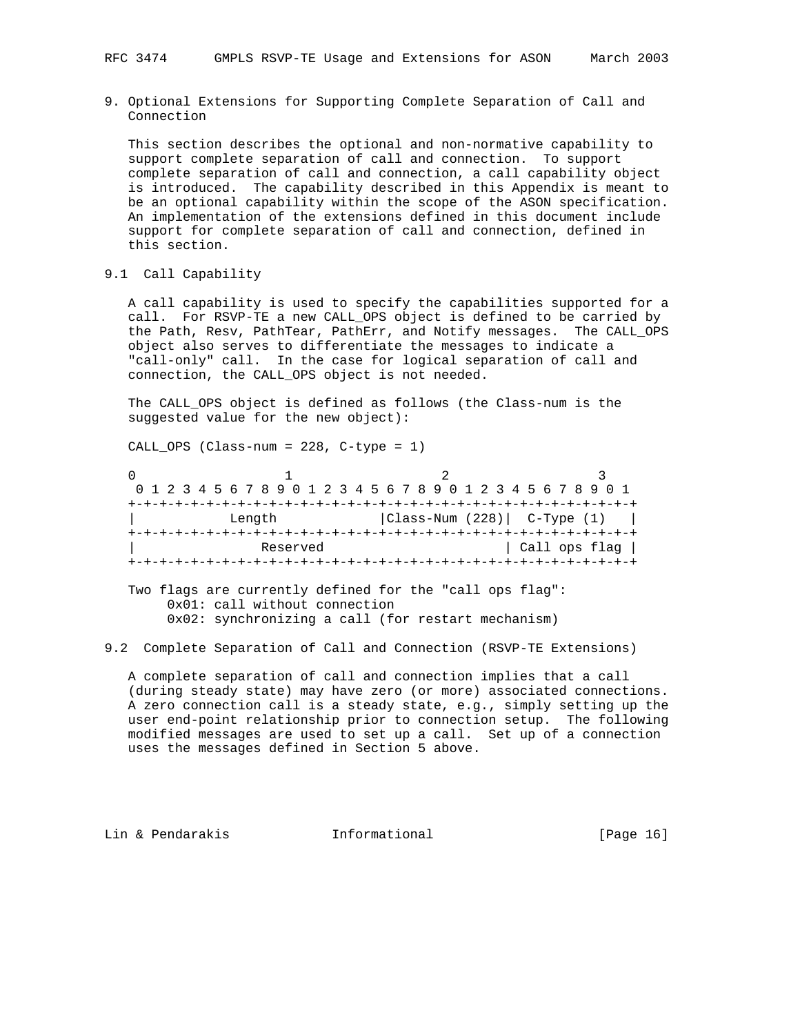9. Optional Extensions for Supporting Complete Separation of Call and Connection

 This section describes the optional and non-normative capability to support complete separation of call and connection. To support complete separation of call and connection, a call capability object is introduced. The capability described in this Appendix is meant to be an optional capability within the scope of the ASON specification. An implementation of the extensions defined in this document include support for complete separation of call and connection, defined in this section.

9.1 Call Capability

 A call capability is used to specify the capabilities supported for a call. For RSVP-TE a new CALL\_OPS object is defined to be carried by the Path, Resv, PathTear, PathErr, and Notify messages. The CALL\_OPS object also serves to differentiate the messages to indicate a "call-only" call. In the case for logical separation of call and connection, the CALL\_OPS object is not needed.

 The CALL\_OPS object is defined as follows (the Class-num is the suggested value for the new object):

CALL OPS (Class-num = 228, C-type = 1)

| 0 1 2 3 4 5 6 7 8 9 0 1 2 3 4 5 6 7 8 9 0 1 2 3 4 5 6 7 8 9 0 1 |                                |               |
|-----------------------------------------------------------------|--------------------------------|---------------|
|                                                                 |                                |               |
| Length                                                          | $ Class-Num (228) $ C-Type (1) |               |
|                                                                 | --+-+-+-+-+-+-+-+-+-+-+        |               |
| Reserved                                                        |                                | Call ops flag |
|                                                                 |                                |               |

 Two flags are currently defined for the "call ops flag": 0x01: call without connection 0x02: synchronizing a call (for restart mechanism)

### 9.2 Complete Separation of Call and Connection (RSVP-TE Extensions)

 A complete separation of call and connection implies that a call (during steady state) may have zero (or more) associated connections. A zero connection call is a steady state, e.g., simply setting up the user end-point relationship prior to connection setup. The following modified messages are used to set up a call. Set up of a connection uses the messages defined in Section 5 above.

Lin & Pendarakis **Informational** [Page 16]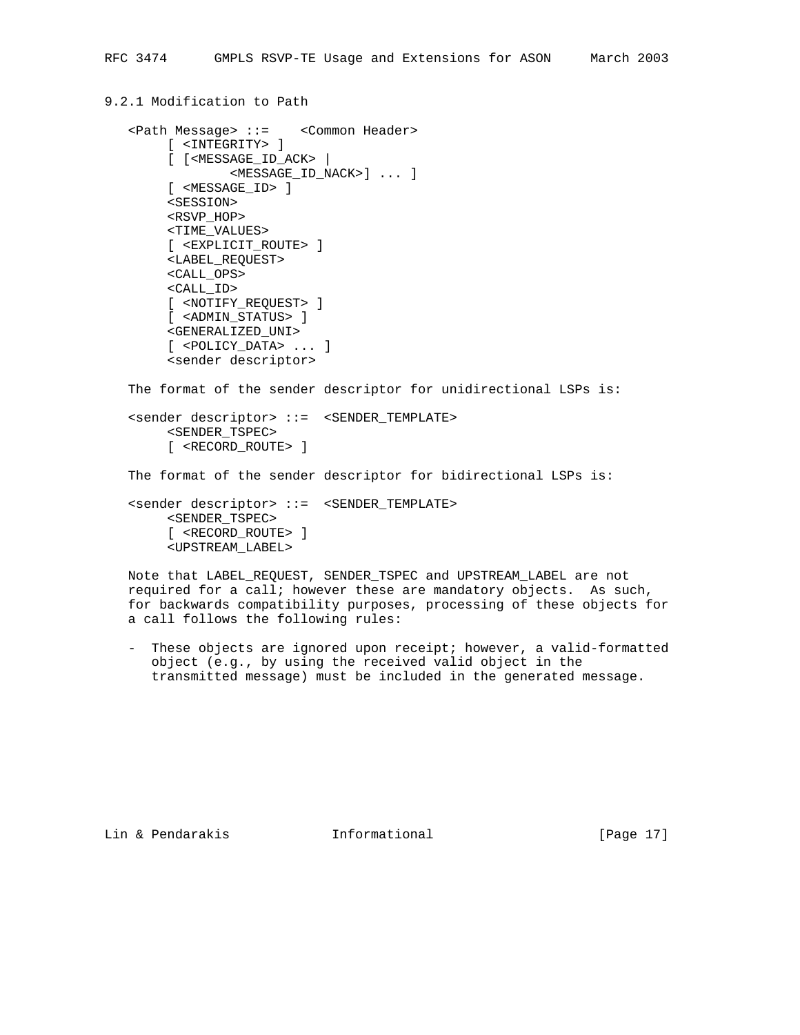## 9.2.1 Modification to Path

```
 <Path Message> ::= <Common Header>
      [ <INTEGRITY> ]
      [ [<MESSAGE_ID_ACK> |
             <MESSAGE_ID_NACK>] ... ]
      [ <MESSAGE_ID> ]
      <SESSION>
      <RSVP_HOP>
      <TIME_VALUES>
      [ <EXPLICIT_ROUTE> ]
      <LABEL_REQUEST>
      <CALL_OPS>
      <CALL_ID>
      [ <NOTIFY_REQUEST> ]
      [ <ADMIN_STATUS> ]
      <GENERALIZED_UNI>
      [ <POLICY_DATA> ... ]
      <sender descriptor>
```
The format of the sender descriptor for unidirectional LSPs is:

 <sender descriptor> ::= <SENDER\_TEMPLATE> <SENDER\_TSPEC> [ <RECORD\_ROUTE> ]

The format of the sender descriptor for bidirectional LSPs is:

 <sender descriptor> ::= <SENDER\_TEMPLATE> <SENDER\_TSPEC> [ <RECORD\_ROUTE> ] <UPSTREAM\_LABEL>

 Note that LABEL\_REQUEST, SENDER\_TSPEC and UPSTREAM\_LABEL are not required for a call; however these are mandatory objects. As such, for backwards compatibility purposes, processing of these objects for a call follows the following rules:

 - These objects are ignored upon receipt; however, a valid-formatted object (e.g., by using the received valid object in the transmitted message) must be included in the generated message.

Lin & Pendarakis Informational [Page 17]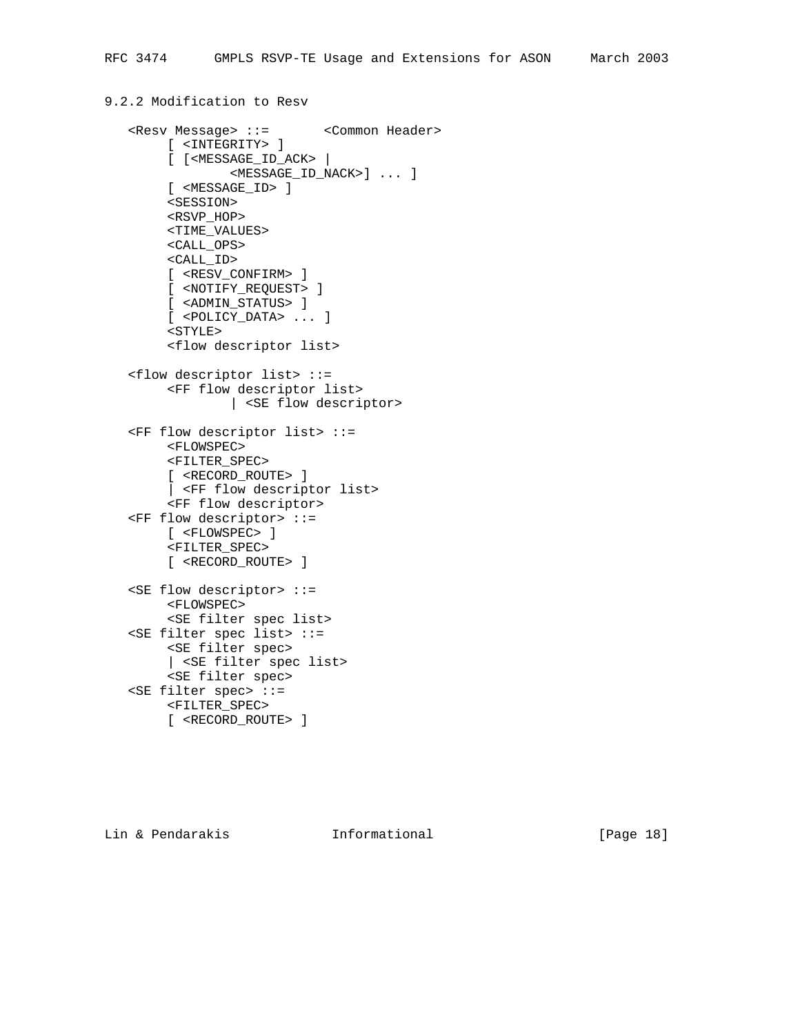# 9.2.2 Modification to Resv

```
 <Resv Message> ::= <Common Header>
      [ <INTEGRITY> ]
      [ [<MESSAGE_ID_ACK> |
           <MESSAGE_ID_NACK>] ... ]
      [ <MESSAGE_ID> ]
      <SESSION>
      <RSVP_HOP>
      <TIME_VALUES>
      <CALL_OPS>
      <CALL_ID>
      [ <RESV_CONFIRM> ]
      [ <NOTIFY_REQUEST> ]
      [ <ADMIN_STATUS> ]
      [ <POLICY_DATA> ... ]
      <STYLE>
      <flow descriptor list>
 <flow descriptor list> ::=
      <FF flow descriptor list>
             | <SE flow descriptor>
 <FF flow descriptor list> ::=
      <FLOWSPEC>
      <FILTER_SPEC>
      [ <RECORD_ROUTE> ]
      | <FF flow descriptor list>
      <FF flow descriptor>
 <FF flow descriptor> ::=
      [ <FLOWSPEC> ]
      <FILTER_SPEC>
      [ <RECORD_ROUTE> ]
 <SE flow descriptor> ::=
      <FLOWSPEC>
      <SE filter spec list>
 <SE filter spec list> ::=
      <SE filter spec>
      | <SE filter spec list>
      <SE filter spec>
 <SE filter spec> ::=
      <FILTER_SPEC>
      [ <RECORD_ROUTE> ]
```
Lin & Pendarakis Informational [Page 18]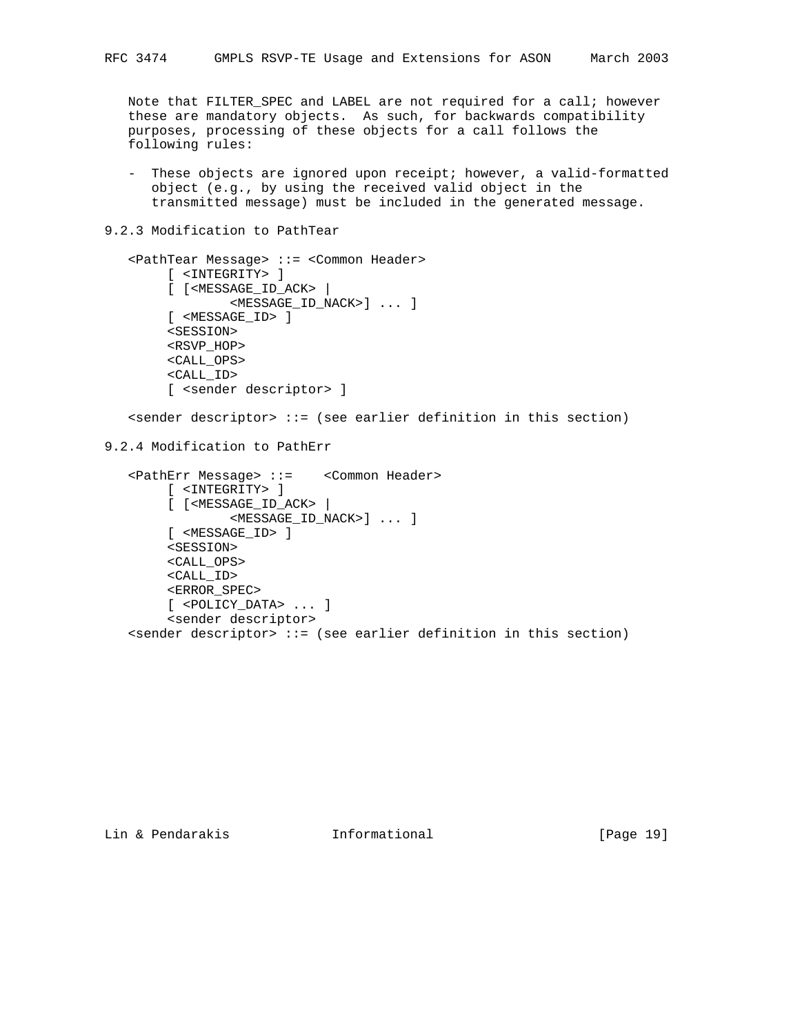Note that FILTER\_SPEC and LABEL are not required for a call; however these are mandatory objects. As such, for backwards compatibility purposes, processing of these objects for a call follows the following rules:

- These objects are ignored upon receipt; however, a valid-formatted object (e.g., by using the received valid object in the transmitted message) must be included in the generated message.
- 9.2.3 Modification to PathTear

```
 <PathTear Message> ::= <Common Header>
         [ <INTEGRITY> ]
         [ [<MESSAGE_ID_ACK> |
                 <MESSAGE_ID_NACK>] ... ]
         [ <MESSAGE_ID> ]
         <SESSION>
         <RSVP_HOP>
         <CALL_OPS>
         <CALL_ID>
         [ <sender descriptor> ]
   s <sender descriptor> ::= (see earlier definition in this section)
9.2.4 Modification to PathErr
    <PathErr Message> ::= <Common Header>
```

```
 [ <INTEGRITY> ]
      [ [<MESSAGE_ID_ACK> |
              <MESSAGE_ID_NACK>] ... ]
      [ <MESSAGE_ID> ]
      <SESSION>
      <CALL_OPS>
      <CALL_ID>
      <ERROR_SPEC>
      [ <POLICY_DATA> ... ]
      <sender descriptor>
 <sender descriptor> ::= (see earlier definition in this section)
```
Lin & Pendarakis Informational [Page 19]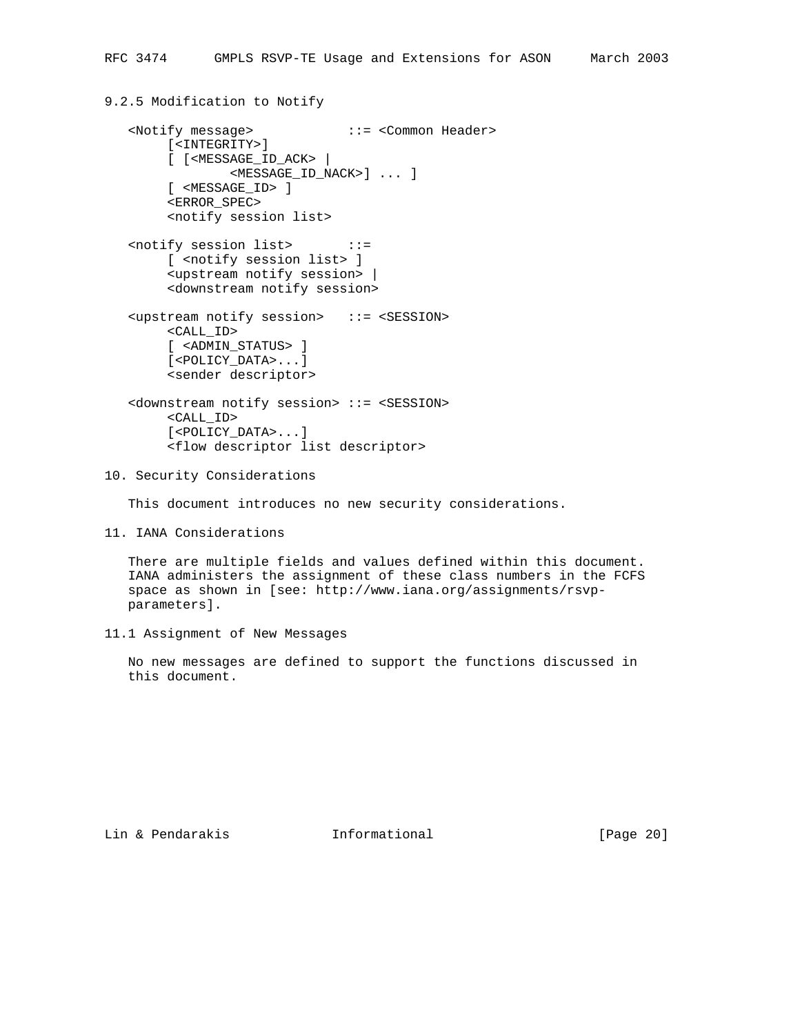# 9.2.5 Modification to Notify

```
 <Notify message> ::= <Common Header>
      [<INTEGRITY>]
      [ [<MESSAGE_ID_ACK> |
             <MESSAGE_ID_NACK>] ... ]
      [ <MESSAGE_ID> ]
      <ERROR_SPEC>
      <notify session list>
 <notify session list> ::=
      [ <notify session list> ]
      <upstream notify session> |
      <downstream notify session>
 <upstream notify session> ::= <SESSION>
     <CALL_ID>
      [ <ADMIN_STATUS> ]
      [<POLICY_DATA>...]
      <sender descriptor>
 <downstream notify session> ::= <SESSION>
      <CALL_ID>
      [<POLICY_DATA>...]
      <flow descriptor list descriptor>
```
10. Security Considerations

This document introduces no new security considerations.

11. IANA Considerations

 There are multiple fields and values defined within this document. IANA administers the assignment of these class numbers in the FCFS space as shown in [see: http://www.iana.org/assignments/rsvp parameters].

11.1 Assignment of New Messages

 No new messages are defined to support the functions discussed in this document.

Lin & Pendarakis Informational [Page 20]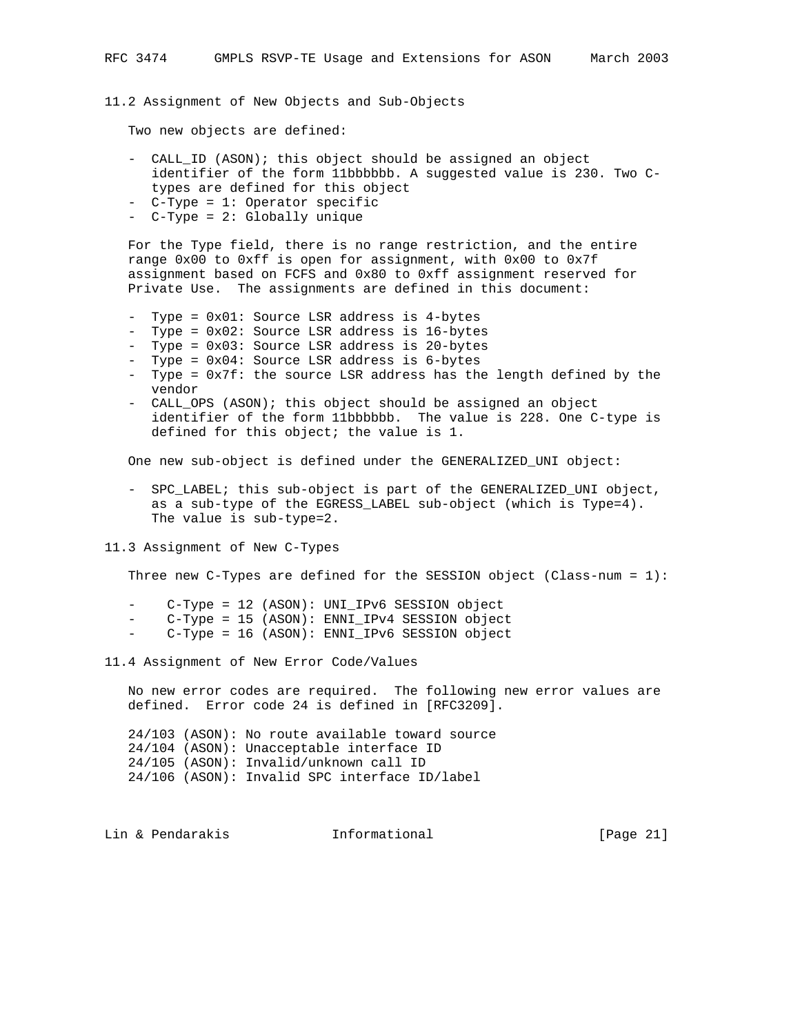11.2 Assignment of New Objects and Sub-Objects

Two new objects are defined:

- CALL\_ID (ASON); this object should be assigned an object identifier of the form 11bbbbbb. A suggested value is 230. Two C types are defined for this object
- C-Type = 1: Operator specific
- C-Type = 2: Globally unique

 For the Type field, there is no range restriction, and the entire range 0x00 to 0xff is open for assignment, with 0x00 to 0x7f assignment based on FCFS and 0x80 to 0xff assignment reserved for Private Use. The assignments are defined in this document:

- Type = 0x01: Source LSR address is 4-bytes
- Type = 0x02: Source LSR address is 16-bytes
- Type = 0x03: Source LSR address is 20-bytes
- Type = 0x04: Source LSR address is 6-bytes
- Type = 0x7f: the source LSR address has the length defined by the vendor
- CALL\_OPS (ASON); this object should be assigned an object identifier of the form 11bbbbbb. The value is 228. One C-type is defined for this object; the value is 1.

One new sub-object is defined under the GENERALIZED\_UNI object:

 - SPC\_LABEL; this sub-object is part of the GENERALIZED\_UNI object, as a sub-type of the EGRESS\_LABEL sub-object (which is Type=4). The value is sub-type=2.

11.3 Assignment of New C-Types

Three new C-Types are defined for the SESSION object (Class-num =  $1$ ):

- C-Type = 12 (ASON): UNI\_IPv6 SESSION object
- C-Type = 15 (ASON): ENNI\_IPv4 SESSION object
- C-Type = 16 (ASON): ENNI\_IPv6 SESSION object

11.4 Assignment of New Error Code/Values

 No new error codes are required. The following new error values are defined. Error code 24 is defined in [RFC3209].

 24/103 (ASON): No route available toward source 24/104 (ASON): Unacceptable interface ID 24/105 (ASON): Invalid/unknown call ID 24/106 (ASON): Invalid SPC interface ID/label

Lin & Pendarakis Informational [Page 21]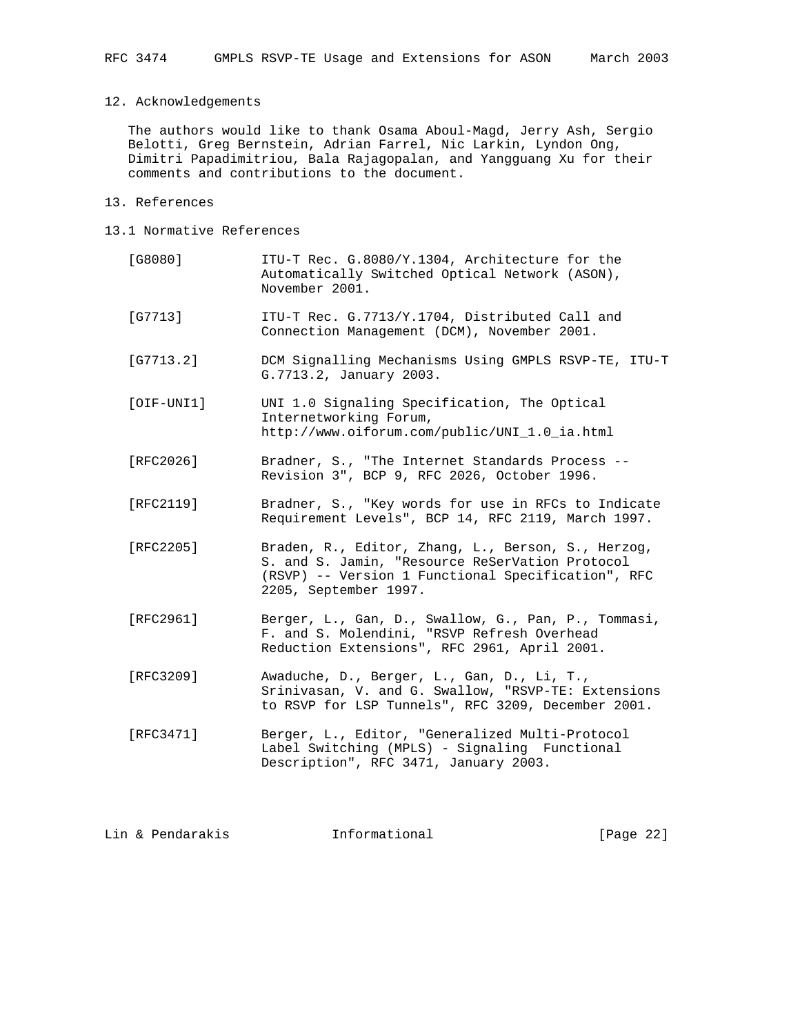### 12. Acknowledgements

 The authors would like to thank Osama Aboul-Magd, Jerry Ash, Sergio Belotti, Greg Bernstein, Adrian Farrel, Nic Larkin, Lyndon Ong, Dimitri Papadimitriou, Bala Rajagopalan, and Yangguang Xu for their comments and contributions to the document.

- 13. References
- 13.1 Normative References

| [G8080]      | ITU-T Rec. G.8080/Y.1304, Architecture for the<br>Automatically Switched Optical Network (ASON),<br>November 2001.                                                                   |
|--------------|--------------------------------------------------------------------------------------------------------------------------------------------------------------------------------------|
| $[G7713]$    | ITU-T Rec. G.7713/Y.1704, Distributed Call and<br>Connection Management (DCM), November 2001.                                                                                        |
| [G7713.2]    | DCM Signalling Mechanisms Using GMPLS RSVP-TE, ITU-T<br>G.7713.2, January 2003.                                                                                                      |
| $[OIF-UNI1]$ | UNI 1.0 Signaling Specification, The Optical<br>Internetworking Forum,<br>http://www.oiforum.com/public/UNI_1.0_ia.html                                                              |
| [RFC2026]    | Bradner, S., "The Internet Standards Process --<br>Revision 3", BCP 9, RFC 2026, October 1996.                                                                                       |
| [RFC2119]    | Bradner, S., "Key words for use in RFCs to Indicate<br>Requirement Levels", BCP 14, RFC 2119, March 1997.                                                                            |
| [RFC2205]    | Braden, R., Editor, Zhang, L., Berson, S., Herzog,<br>S. and S. Jamin, "Resource ReSerVation Protocol<br>(RSVP) -- Version 1 Functional Specification", RFC<br>2205, September 1997. |
| [RFC2961]    | Berger, L., Gan, D., Swallow, G., Pan, P., Tommasi,<br>F. and S. Molendini, "RSVP Refresh Overhead<br>Reduction Extensions", RFC 2961, April 2001.                                   |
| [RFC3209]    | Awaduche, D., Berger, L., Gan, D., Li, T.,<br>Srinivasan, V. and G. Swallow, "RSVP-TE: Extensions<br>to RSVP for LSP Tunnels", RFC 3209, December 2001.                              |
| [RFC3471]    | Berger, L., Editor, "Generalized Multi-Protocol<br>Label Switching (MPLS) - Signaling Functional<br>Description", RFC 3471, January 2003.                                            |
|              |                                                                                                                                                                                      |

Lin & Pendarakis **Informational** [Page 22]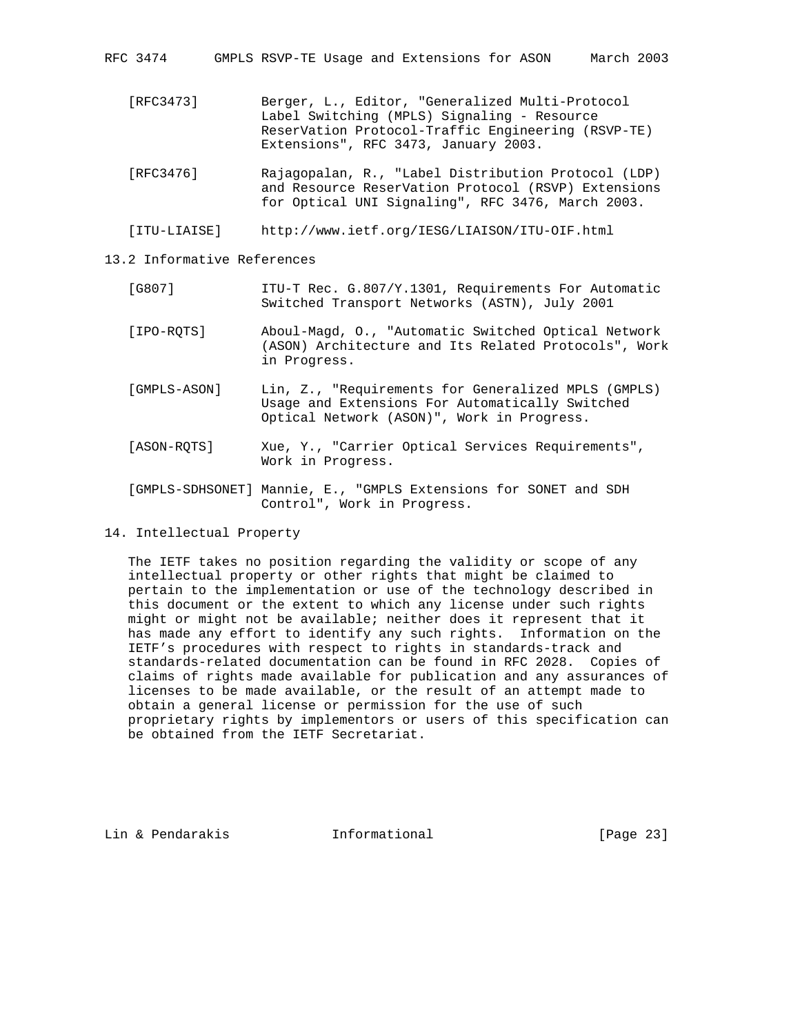RFC 3474 GMPLS RSVP-TE Usage and Extensions for ASON March 2003

- [RFC3473] Berger, L., Editor, "Generalized Multi-Protocol Label Switching (MPLS) Signaling - Resource ReserVation Protocol-Traffic Engineering (RSVP-TE) Extensions", RFC 3473, January 2003.
- [RFC3476] Rajagopalan, R., "Label Distribution Protocol (LDP) and Resource ReserVation Protocol (RSVP) Extensions for Optical UNI Signaling", RFC 3476, March 2003.

[ITU-LIAISE] http://www.ietf.org/IESG/LIAISON/ITU-OIF.html

13.2 Informative References

- [G807] ITU-T Rec. G.807/Y.1301, Requirements For Automatic Switched Transport Networks (ASTN), July 2001
- [IPO-RQTS] Aboul-Magd, O., "Automatic Switched Optical Network (ASON) Architecture and Its Related Protocols", Work in Progress.
- [GMPLS-ASON] Lin, Z., "Requirements for Generalized MPLS (GMPLS) Usage and Extensions For Automatically Switched Optical Network (ASON)", Work in Progress.
- [ASON-RQTS] Xue, Y., "Carrier Optical Services Requirements", Work in Progress.
- [GMPLS-SDHSONET] Mannie, E., "GMPLS Extensions for SONET and SDH Control", Work in Progress.

14. Intellectual Property

 The IETF takes no position regarding the validity or scope of any intellectual property or other rights that might be claimed to pertain to the implementation or use of the technology described in this document or the extent to which any license under such rights might or might not be available; neither does it represent that it has made any effort to identify any such rights. Information on the IETF's procedures with respect to rights in standards-track and standards-related documentation can be found in RFC 2028. Copies of claims of rights made available for publication and any assurances of licenses to be made available, or the result of an attempt made to obtain a general license or permission for the use of such proprietary rights by implementors or users of this specification can be obtained from the IETF Secretariat.

Lin & Pendarakis Informational [Page 23]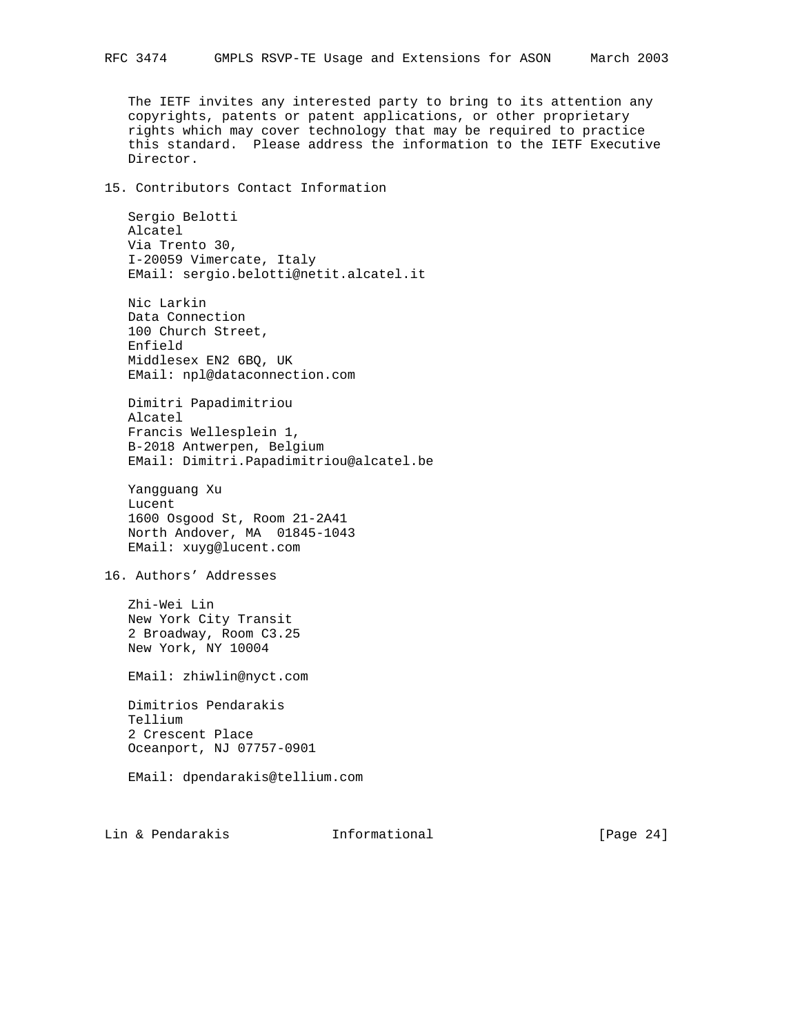The IETF invites any interested party to bring to its attention any copyrights, patents or patent applications, or other proprietary rights which may cover technology that may be required to practice this standard. Please address the information to the IETF Executive Director.

### 15. Contributors Contact Information

 Sergio Belotti Alcatel Via Trento 30, I-20059 Vimercate, Italy EMail: sergio.belotti@netit.alcatel.it

 Nic Larkin Data Connection 100 Church Street, Enfield Middlesex EN2 6BQ, UK EMail: npl@dataconnection.com

 Dimitri Papadimitriou Alcatel Francis Wellesplein 1, B-2018 Antwerpen, Belgium EMail: Dimitri.Papadimitriou@alcatel.be

 Yangguang Xu Lucent 1600 Osgood St, Room 21-2A41 North Andover, MA 01845-1043 EMail: xuyg@lucent.com

16. Authors' Addresses

 Zhi-Wei Lin New York City Transit 2 Broadway, Room C3.25 New York, NY 10004

EMail: zhiwlin@nyct.com

 Dimitrios Pendarakis Tellium 2 Crescent Place Oceanport, NJ 07757-0901

EMail: dpendarakis@tellium.com

Lin & Pendarakis Informational [Page 24]